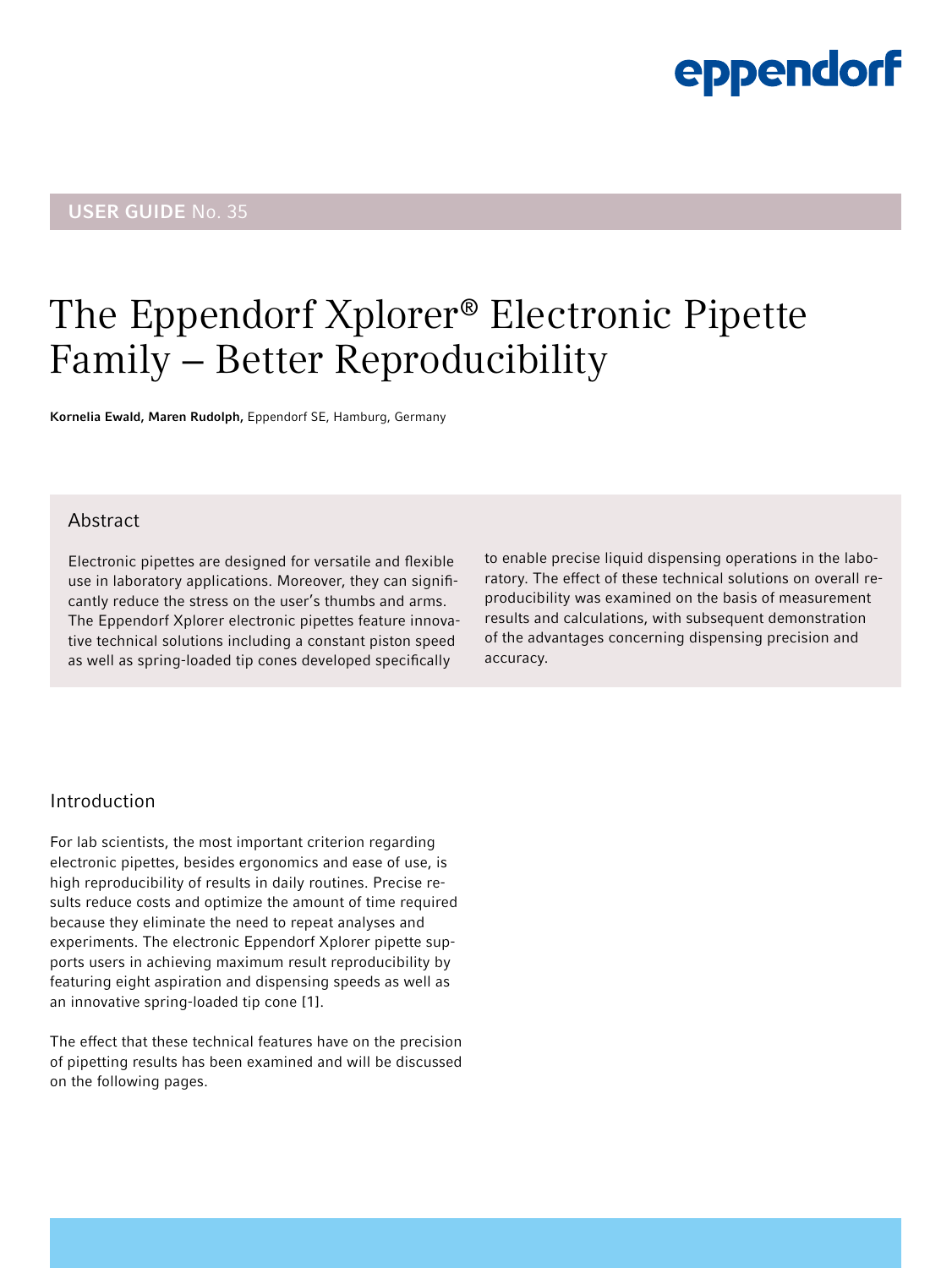# eppendorf

# USER GUIDE No. 35

# The Eppendorf Xplorer® Electronic Pipette Family − Better Reproducibility

Kornelia Ewald, Maren Rudolph, Eppendorf SE, Hamburg, Germany

### Abstract

Electronic pipettes are designed for versatile and flexible use in laboratory applications. Moreover, they can significantly reduce the stress on the user's thumbs and arms. The Eppendorf Xplorer electronic pipettes feature innovative technical solutions including a constant piston speed as well as spring-loaded tip cones developed specifically

to enable precise liquid dispensing operations in the laboratory. The effect of these technical solutions on overall reproducibility was examined on the basis of measurement results and calculations, with subsequent demonstration of the advantages concerning dispensing precision and accuracy.

### Introduction

For lab scientists, the most important criterion regarding electronic pipettes, besides ergonomics and ease of use, is high reproducibility of results in daily routines. Precise results reduce costs and optimize the amount of time required because they eliminate the need to repeat analyses and experiments. The electronic Eppendorf Xplorer pipette supports users in achieving maximum result reproducibility by featuring eight aspiration and dispensing speeds as well as an innovative spring-loaded tip cone [1].

The effect that these technical features have on the precision of pipetting results has been examined and will be discussed on the following pages.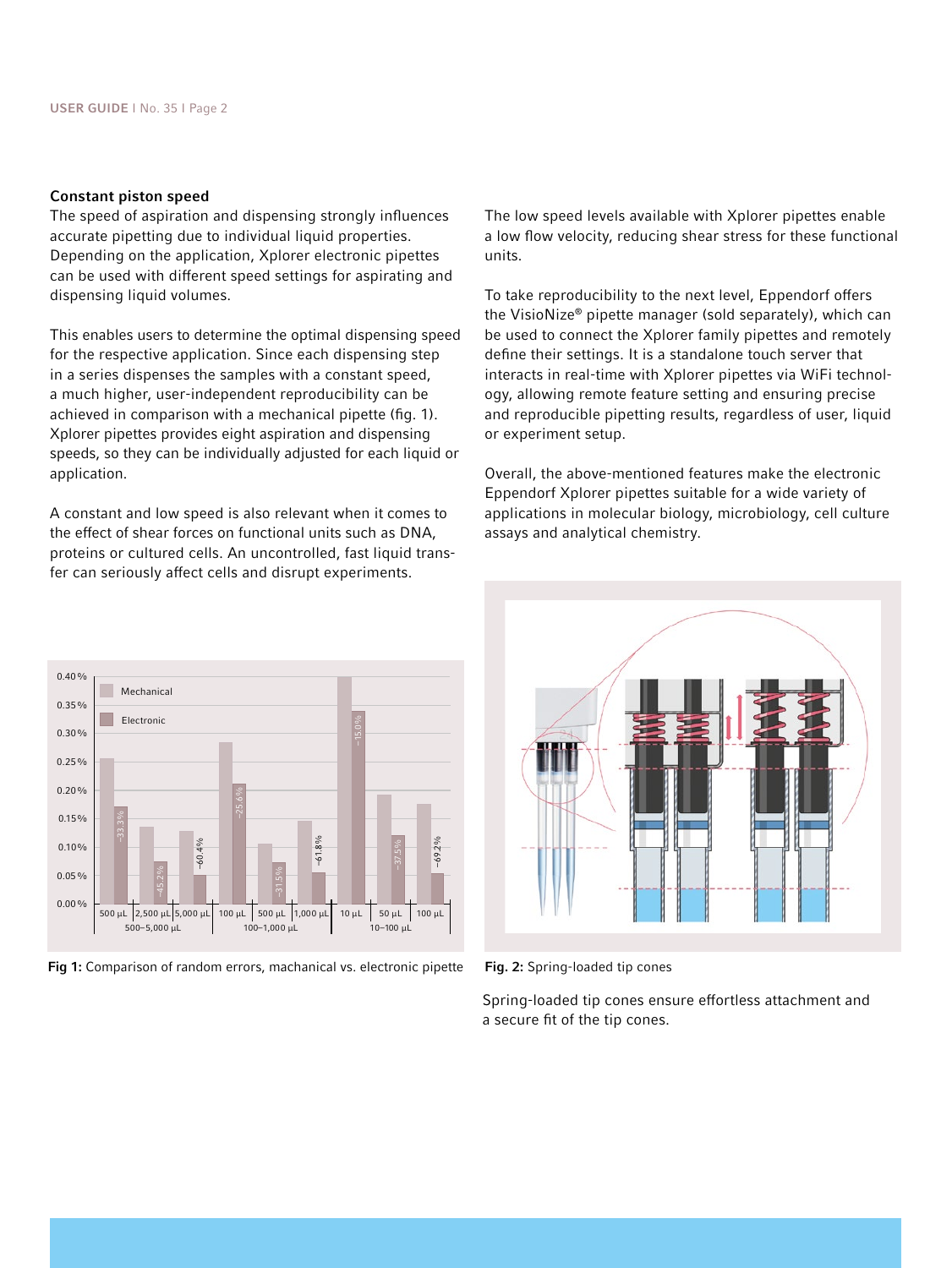#### Constant piston speed

The speed of aspiration and dispensing strongly influences accurate pipetting due to individual liquid properties. Depending on the application, Xplorer electronic pipettes can be used with different speed settings for aspirating and dispensing liquid volumes.

This enables users to determine the optimal dispensing speed for the respective application. Since each dispensing step in a series dispenses the samples with a constant speed, a much higher, user-independent reproducibility can be achieved in comparison with a mechanical pipette (fig. 1). Xplorer pipettes provides eight aspiration and dispensing speeds, so they can be individually adjusted for each liquid or application.

A constant and low speed is also relevant when it comes to the effect of shear forces on functional units such as DNA, proteins or cultured cells. An uncontrolled, fast liquid transfer can seriously affect cells and disrupt experiments.

The low speed levels available with Xplorer pipettes enable a low flow velocity, reducing shear stress for these functional units.

To take reproducibility to the next level, Eppendorf offers the VisioNize® pipette manager (sold separately), which can be used to connect the Xplorer family pipettes and remotely define their settings. It is a standalone touch server that interacts in real-time with Xplorer pipettes via WiFi technology, allowing remote feature setting and ensuring precise and reproducible pipetting results, regardless of user, liquid or experiment setup.

Overall, the above-mentioned features make the electronic Eppendorf Xplorer pipettes suitable for a wide variety of applications in molecular biology, microbiology, cell culture assays and analytical chemistry.



Fig 1: Comparison of random errors, machanical vs. electronic pipette Fig. 2: Spring-loaded tip cones



Spring-loaded tip cones ensure effortless attachment and a secure fit of the tip cones.